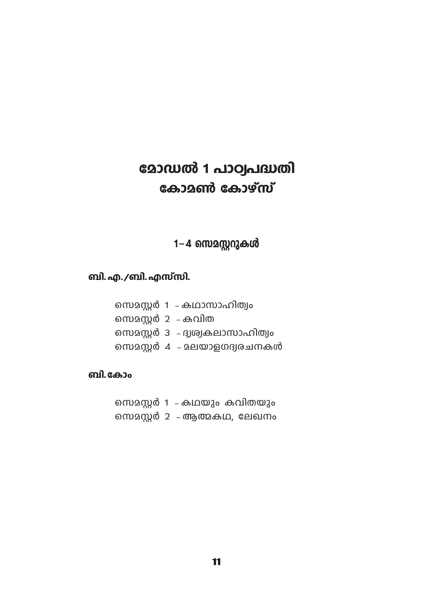# മോഡൽ 1 പാഠ്വപദ്ധതി കോമൺ കോഴ്സ്

# 1-4 സെമസ്റ്ററുകൾ

# ബി. എ./ബി. എസ്സി.

|                    | സെമസ്റ്റർ 1 – കഥാസാഹിത്വം       |
|--------------------|---------------------------------|
| സെമസ്റ്റർ 2 – കവിത |                                 |
|                    | സെമസ്റ്റർ 3 – ദ്വശ്വകലാസാഹിത്വം |
|                    | സെമസ്റ്റർ 4 - മലയാളഗദ്വരചനകൾ    |
|                    |                                 |

### ബി.കോം

- സെമസ്റ്റർ 1 കഥയും കവിതയും
- സെമസ്റ്റർ 2 ആത്മകഥ, ലേഖനം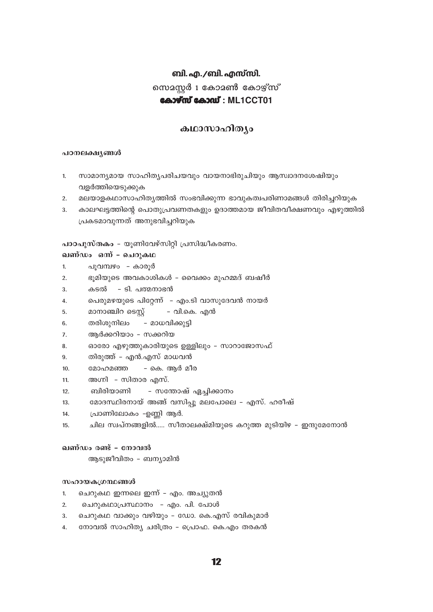# ബി. എ./ബി. എസ്സി. സെമസ്റ്റർ 1 കോമൺ കോഴ്സ് കോഴ്സ് കോഡ്: ML1CCT01

### കഥാസാഹിത്യം

#### പഠനലക്ഷൃങ്ങൾ

- സാമാന്യമായ സാഹിത്യപരിചയവും വായനാഭിരുചിയും ആസ്വാദനശേഷിയും  $\mathbf{1}$ വളർത്തിയെടുക്കുക
- മലയാളകഥാസാഹിത്യത്തിൽ സംഭവിക്കുന്ന ഭാവുകത്വപരിണാമങ്ങൾ തിരിച്ചറിയുക  $\mathfrak{D}$
- കാലഘട്ടത്തിന്റെ പൊതുപ്രവണതകളും ഉദാത്തമായ ജീവിതവീക്ഷണവും എഴുത്തിൽ 3. പ്രകടമാവുന്നത് അനുഭവിച്ചറിയുക

പാഠപുസ്തകം - യൂണിവേഴ്സിറ്റി പ്രസിദ്ധീകരണം.

#### ഖണ്ഡം ഒന് - ചെറുകഥ

- പുവമ്പഴം കാരുർ  $\mathbf{1}$
- ഭൂമിയുടെ അവകാശികൾ വൈക്കം മുഹമ്മദ് ബഷീർ  $\mathcal{P}$
- 3. കടൽ - ടി. പത്മനാഭൻ
- പെരുമഴയുടെ പിറ്റേന്ന് എം.ടി വാസുദേവൻ നായർ  $\overline{4}$ .
- മാനാഞ്ചിറ ടെസ്റ്റ് – വി.കെ. എൻ 5.
- തരിശുനിലം – മാധവിക്കുട്ടി 6
- ആർക്കറിയാം സക്കറിയ 7.
- ഓരോ എഴുത്തുകാരിയുടെ ഉള്ളിലും സാറാജോസഫ് 8.
- തിരുത്ത് എൻ.എസ് മാധവൻ  $\mathbf{q}$
- മോഹമഞ്ഞ - കെ. ആർ മീര  $10<sub>1</sub>$
- അഗ്നി സിതാര എസ്.  $11$
- ബിരിയാണി – സന്തോഷ് ഏച്ചിക്കാനം  $12.$
- മോദസ്ഥിരനായ് അങ്ങ് വസിപ്പു മലപോലെ എസ്. ഹരീഷ്  $13.$
- $14.$ പ്രാണിലോകം -ഉണ്ണി ആർ.
- ചില സ്ഥ്നങ്ങളിൽ..... സീതാലക്ഷ്മിയുടെ കറുത്ത മുടിയിഴ ഇന്ദുമേനോൻ  $15<sup>1</sup>$

#### ഖണ്ഡം രണ്ട് - നോവൽ

ആടുജീവിതം - ബന്യാമിൻ

#### സഹായകഗ്രന്ഥങ്ങൾ

- ചെറുകഥ ഇന്നലെ ഇന്ന് എം. അച്യുതൻ  $\mathbf{1}$
- ചെറുകഥാപ്രസ്ഥാനം എം. പി. പോൾ  $\mathcal{P}$
- ചെറുകഥ വാക്കും വഴിയും ഡോ. കെ.എസ് രവികുമാർ  $3<sub>1</sub>$
- നോവൽ സാഹിത്യ ചരിത്രം പ്രൊഫ. കെ.എം തരകൻ  $4.$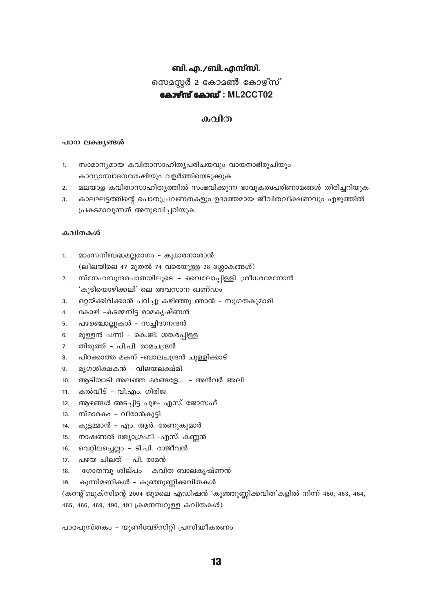# ബി. എ./ബി. എസ്സി. സെമസ്റ്റർ 2 കോമൺ കോഴ്സ് കോഴ്സ് കോഡ്: ML2CCT02

### കവിത

#### പഠന ലക്ഷ്യങ്ങൾ

- സാമാന്യമായ കവിതാസാഹിത്യപരിചയവും വായനാഭിരുചിയും  $\mathbf{1}$ കാവ്യാസ്വാദനശേഷിയും വളർത്തിയെടുക്കുക
- മലയാള കവിതാസാഹിത്യത്തിൽ സംഭവിക്കുന്ന ഭാവുകത്വപരിണാമങ്ങൾ തിരിച്ചറിയുക  $\overline{2}$ .
- കാലഘട്ടത്തിന്റെ പൊതുപ്രവണതകളും ഉദാത്തമായ ജീവിതവീക്ഷണവും എഴുത്തിൽ  $\mathcal{R}$ പ്രകടമാവുന്നത് അനുഭവിച്ചറിയുക

#### കവിതകൾ

- മാംസനിബദ്ധമല്ലരാഗം കുമാരനാശാൻ  $\mathbf{1}$  $($ ലീലയിലെ 47 മുതൽ 74 വരെയുള്ള 28 ശ്ലോകങ്ങൾ $)$
- സ്നേഹസുന്ദരപാതയിലൂടെ വൈലോപ്പിള്ളി ശ്രീധരമേനോൻ  $\mathcal{P}$ 'കുടിയൊഴിക്കലി' ലെ അവസാന ഖണ്ഡം
- ഒറ്റയ്ക്കിരിക്കാൻ പഠിച്ചു കഴിഞ്ഞു ഞാൻ സുഗതകുമാരി 3.
- കോഴി -കടമ്മനിട്ട രാമകൃഷ്ണൻ  $4.$
- പഴഞ്ചൊല്ലുകൾ സച്ചിദാനന്ദൻ 5.
- മുള്ളൻ പന്നി കെ.ജി. ശങ്കരപ്പിള്ള 6.
- തിരുത്ത് പി.പി. രാമചന്ദ്രൻ  $\overline{7}$ .
- പിറക്കാത്ത മകന് -ബാലചന്ദ്രൻ ചുള്ളിക്കാട്  $\mathbf{R}$
- മൃഗശിക്ഷകൻ വിജയലക്ഷ്മി 9.
- ആടിയാടി അലഞ്ഞ മരങ്ങളേ.... അൻവർ അലി  $10<sub>1</sub>$
- $11.$ കൽവീട് - വി.എം. ഗിരിജ
- ആഴങ്ങൾ അടച്ചിട്ട പുഴ- എസ്. ജോസഫ്  $12<sub>1</sub>$
- സ്മാരകം വീരാൻകുട്ടി  $13.$
- കുട്ടമ്മാൻ എം. ആർ. രേണുകുമാർ  $14.$
- നാഷണൽ ജ്യോഗ്രഫി -എസ്. കണ്ണൻ  $15.$
- വെറ്റിലച്ചെല്ലം ടി.പി. രാജീവൻ  $16.$
- 17. പഴയ ചിലത് പി. രാമൻ
- $18.$ ഗോതമ്പു ശില്പം – കവിത ബാലകൃഷ്ണൻ
- കുന്നിമണികൾ കുഞ്ഞുണ്ണിക്കവിതകൾ 19.

(കറന്റ് ബുക്സിന്റെ 2004 ജൂലൈ എഡിഷൻ 'കുഞ്ഞുണ്ണിക്കവിത'കളിൽ നിന്ന് 460, 463, 464,

465, 466, 469, 490, 491 ക്രമനമ്പറുള്ള കവിതകൾ)

പാഠപുസ്തകം – യൂണിവേഴ്സിറ്റി പ്രസിദ്ധീകരണം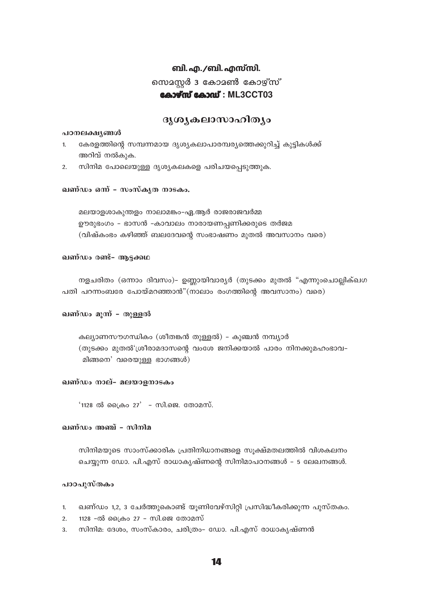## ബി. എ. /ബി. എസ്സി. സെമസ്റ്റർ 3 കോമൺ കോഴ്സ് കോഴ്സ് കോഡ്: ML3CCT03

### ദൃശൃകലാസാഹിത്യം

#### പഠനലക്ഷൃങ്ങൾ

- കേരളത്തിന്റെ സമ്പന്നമായ ദൃശ്യകലാപാരമ്പര്യത്തെക്കുറിച്ച് കുട്ടികൾക്ക്  $\mathbf{1}$ അറിവ് നൽകുക.
- സിനിമ പോലെയുള്ള ദൃശ്യകലകളെ പരിചയപ്പെടുത്തുക.  $2.$

#### ഖണ്ഡം ഒന് - സംസ്കൃത നാടകം.

മലയാളശാകുന്തളം നാലാമങ്കം-ഏ.ആർ രാജരാജവർമ്മ ഊരുഭംഗം - ഭാസൻ -കാവാലം നാരായണപ്പണിക്കരുടെ തർജമ (വിഷ്കംഭം കഴിഞ്ഞ് ബലദേവന്റെ സംഭാഷണം മുതൽ അവസാനം വരെ)

#### ഖണ്ഡം രണ്ട്- ആട്ടക്കഥ

നളചരിതം (ഒന്നാം ദിവസം)– ഉണ്ണായിവാര്യർ (തുടക്കം മുതൽ "എന്നുംചൊല്ലിക്ഖഗ പതി പറന്നംബരേ പോയ്മറഞ്ഞാൻ"(നാലാം രംഗത്തിന്റെ അവസാനം) വരെ)

#### ഖണ്ഡം മുന്ന് - തുള്ളൽ

കല്യാണസൗഗന്ധികം (ശീതങ്കൻ തുള്ളൽ) - കുഞ്ചൻ നമ്പ്യാർ (തുടക്കം മുതൽ'ശ്രീരാമദാസന്റെ വംശേ ജനിക്കയാൽ പാരം നിനക്കുമഹംഭാവ-മിങ്ങനെ' വരെയുള്ള ഭാഗങ്ങൾ)

#### ഖണ്ഡം നാല്- മലയാളനാടകം

 $'1128$  ൽ പ്രൈം 27' - സി.ജെ. തോമസ്.

#### ഖണ്ഡം അഞ്ച് - സിനിമ

സിനിമയുടെ സാംസ്ക്കാരിക പ്രതിനിധാനങ്ങളെ സൂക്ഷ്മതലത്തിൽ വിശകലനം ചെയ്യുന്ന ഡോ. പി.എസ് രാധാകൃഷ്ണന്റെ സിനിമാപഠനങ്ങൾ - 5 ലേഖനങ്ങൾ.

#### പാഠപുസ്തകം

- ഖണ്ഡം 1,2, 3 ചേർത്തുകൊണ്ട് യൂണിവേഴ്സിറ്റി പ്രസിദ്ധീകരിക്കുന്ന പുസ്തകം.  $\mathbf{1}$ .
- 1128 -ൽ ക്രൈം 27 സി.ജെ തോമസ്  $2.$
- സിനിമ: ദേശം, സംസ്കാരം, ചരിത്രം- ഡോ. പി.എസ് രാധാകൃഷ്ണൻ 3.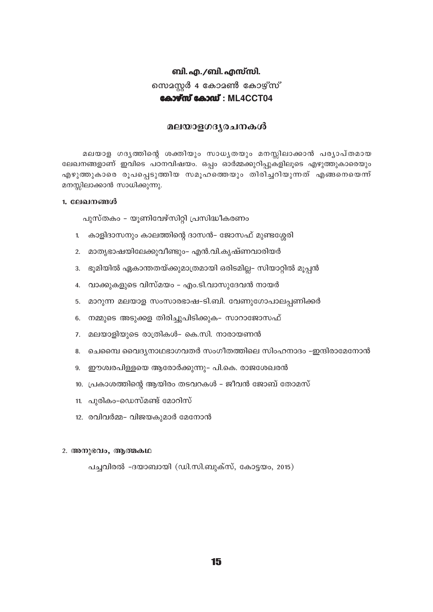## ബി. എ./ബി. എസ്സി. സെമസ്സർ 4 കോമൺ കോഴ്സ് കോഴ്**സ് കോഡ്**: ML4CCT04

### മലയാളഗദൃരചനകൾ

മലയാള ഗദൃത്തിന്റെ ശക്തിയും സാധൃതയും മനസ്സിലാക്കാൻ പര്യാപ്തമായ ലേഖനങ്ങളാണ് ഇവിടെ പഠനവിഷയം. ഒപ്പം ഓർമ്മക്കുറിപ്പുകളിലൂടെ എഴുത്തുകാരെയും എഴുത്തുകാരെ രൂപപ്പെടുത്തിയ സമൂഹത്തെയും തിരിച്ചറിയുന്നത് എങ്ങനെയെന്ന് മനസ്സിലാക്കാൻ സാധിക്കുന്നു.

#### 1. ലേഖനങ്ങൾ

പുസ്തകം – യൂണിവേഴ്സിറ്റി പ്രസിദ്ധീകരണം

- 1. കാളിദാസനും കാലത്തിന്റെ ദാസൻ– ജോസഫ് മുണ്ടശ്ശേരി
- 2. മാതൃഭാഷയിലേക്കുവീണ്ടും- എൻ.വി.കൃഷ്ണവാരിയർ
- 3. ഭൂമിയിൽ ഏകാന്തതയ്ക്കുമാത്രമായി ഒരിടമില്ല– സിയാറ്റിൽ മൂപ്പൻ
- 4. വാക്കുകളുടെ വിസ്മയം എം.ടി.വാസുദേവൻ നായർ
- 5. മാറുന്ന മലയാള സംസാരഭാഷ-ടി.ബി. വേണുഗോപാലപണിക്കർ
- 6. നമ്മുടെ അടുക്കള തിരിച്ചുപിടിക്കുക– സാറാജോസഫ്
- 7. മലയാളിയുടെ രാത്രികൾ– കെ.സി. നാരായണൻ
- 8. ചെമ്പൈ വൈദൃനാഥഭാഗവതർ സംഗീതത്തിലെ സിംഹനാദം –ഇന്ദിരാമേനോൻ
- 9. ഈശ്വരപിള്ളയെ ആരോർക്കുന്നു- പി.കെ. രാജശേഖരൻ
- 10. പ്രകാശത്തിന്റെ ആയിരം തടവറകൾ ജീവൻ ജോബ് തോമസ്
- 11. പുരികം-ഡെസ്മണ്ട് മോറിസ്
- 12. രവിവർമ്മ- വിജയകുമാർ മേനോൻ

#### 2. അനുഭവം, ആത്മകഥ

പച്ചവിരൽ -ദയാബായി (ഡി.സി.ബുക്സ്, കോട്ടയം, 2015)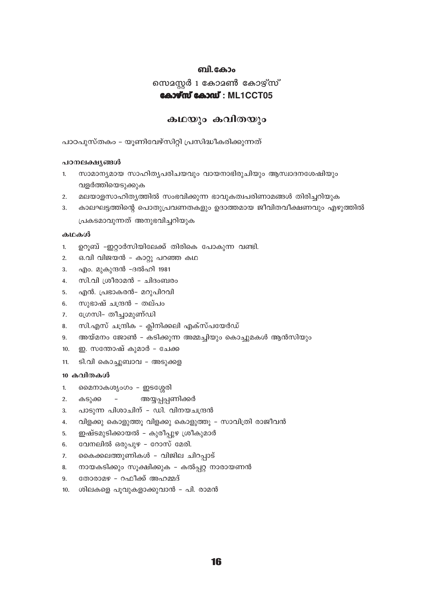#### ബി.കോം

സെമസ്റ്റർ 1 കോമൺ കോഴ്സ്

### കോഴ്സ് കോഡ്: ML1CCT05

### കഥയും കവിതയും

പാഠപുസ്തകം – യൂണിവേഴ്സിറ്റി പ്രസിദ്ധീകരിക്കുന്നത്

#### പഠനലക്ഷൃങ്ങൾ

- സാമാന്യമായ സാഹിത്യപരിചയവും വായനാഭിരുചിയും ആസ്വാദനശേഷിയും  $\mathbf{1}$ വളർത്തിയെടുക്കുക
- മലയാളസാഹിത്യത്തിൽ സംഭവിക്കുന്ന ഭാവുകത്വപരിണാമങ്ങൾ തിരിച്ചറിയുക  $2<sub>1</sub>$
- കാലഘട്ടത്തിന്റെ പൊതുപ്രവണതകളും ഉദാത്തമായ ജീവിതവീക്ഷണവും എഴുത്തിൽ 3. പ്രകടമാവുന്നത് അനുഭവിച്ചറിയുക

#### കഥകൾ

- ഉറൂബ് -ഇറ്റാർസിയിലേക്ക് തിരികെ പോകുന്ന വണ്ടി.  $1<sub>1</sub>$
- ഒ.വി വിജയൻ കാറ്റു പറഞ്ഞ കഥ  $2.$
- എം. മുകുന്ദൻ –ദൽഹി 1981  $3.$
- സി.വി ശ്രീരാമൻ ചിദംബരം 4.
- എൻ. പ്രഭാകരൻ- മറുപിറവി 5
- സുഭാഷ് ചന്ദ്രൻ തല്പം 6.
- ഗ്രേസി- തീച്ചാമുണ്ഡി  $7.$
- സി.എസ് ചന്ദ്രിക ക്ലിനിക്കലി എക്സ്പയേർഡ് 8.
- അയ്മനം ജോൺ കടിക്കുന്ന അമ്മച്ചിയും കൊച്ചുമകൾ ആൻസിയും  $9<sub>1</sub>$
- ഇ. സന്തോഷ് കുമാർ ചേക്ക  $10.$
- ടി.വി കൊച്ചുബാവ അടുക്കള  $11.$

#### 10 കവിതകൾ

- മൈനാകശൃംഗം ഇടശ്ശേരി  $1<sup>1</sup>$
- കടുക്ക അയ്യപ്പപ്പണിക്കർ 2.
- പാടുന്ന പിശാചിന് ഡി. വിനയചന്ദ്രൻ 3.
- വിളക്കു കൊളുത്തൂ വിളക്കു കൊളുത്തൂ സാവിത്രി രാജീവൻ  $4.$
- ഇഷ്ടമുടിക്കായൽ കുരീപ്പുഴ ശ്രീകുമാർ 5.
- വേനലിൽ ഒരുപുഴ റോസ് മേരി. 6.
- കൈക്കലത്തുണികൾ വിജില ചിറപ്പാട്  $7.$
- നായകടിക്കും സൂക്ഷിക്കുക കൽപ്പറ്റ നാരായണൻ  $\mathbf{R}$
- തോരാമഴ റഫീക്ക് അഹമ്മദ്  $\mathbf{q}$
- 10. ശിലകളെ പൂവുകളാക്കുവാൻ പി. രാമൻ